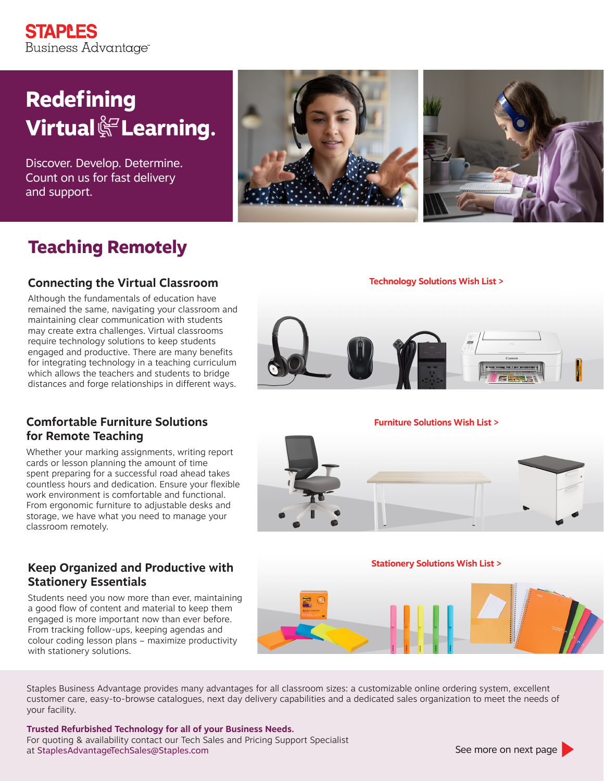## **STAPLES** Business Advantage<sup>®</sup>

# **Redefining Virtual <a>Soming.**

Discover. Develop. Determine. Count on us for fast delivery and support.





# **Teaching Remotely**

### **Connecting the Virtual Classroom**

Although the fundamentals of education have remained the same, navigating your classroom and maintaining clear communication with students may create extra challenges. Virtual classrooms require technology solutions to keep students engaged and productive. There are many benefits for integrating technology in a teaching curriculum which allows the teachers and students to bridge distances and forge relationships in different ways.

### **Comfortable Furniture Solutions for Remote Teaching**

Whether your marking assignments, writing report cards or lesson planning the amount of time spent preparing for a successful road ahead takes countless hours and dedication. Ensure your flexible work environment is comfortable and functional. From ergonomic furniture to adjustable desks and storage, we have what you need to manage your classroom remotely.

### **Keep Organized and Productive with Stationery Essentials**

Students need you now more than ever, maintaining a good flow of content and material to keep them engaged is more important now than ever before. From tracking follow-ups, keeping agendas and colour coding lesson plans – maximize productivity with stationery solutions.

### **[Technology Solutions Wish List >](https://www.eway.ca/en/Shopping/Search/SearchByKeyword?keyword=TS089786&callingLocation=search-bar )**



### **[Furniture Solutions Wish List >](https://www.eway.ca/en/Shopping/Search/SearchByKeyword?keyword=FS65784&callingLocation=search-bar )**



### **[Stationery Solutions Wish List >](https://www.eway.ca/en/Shopping/Search/SearchByKeyword?keyword=67812SS&callingLocation=search-bar )**



Staples Business Advantage provides many advantages for all classroom sizes: a customizable online ordering system, excellent customer care, easy-to-browse catalogues, next day delivery capabilities and a dedicated sales organization to meet the needs of your facility.

**Trusted Refurbished Technology for all of your Business Needs.**  For quoting & availability contact our Tech Sales and Pricing Support Specialist at [StaplesAdvantageTechSales@Staples.com](mailto:StaplesAdvantageTechSales%40Staples.com?subject=)